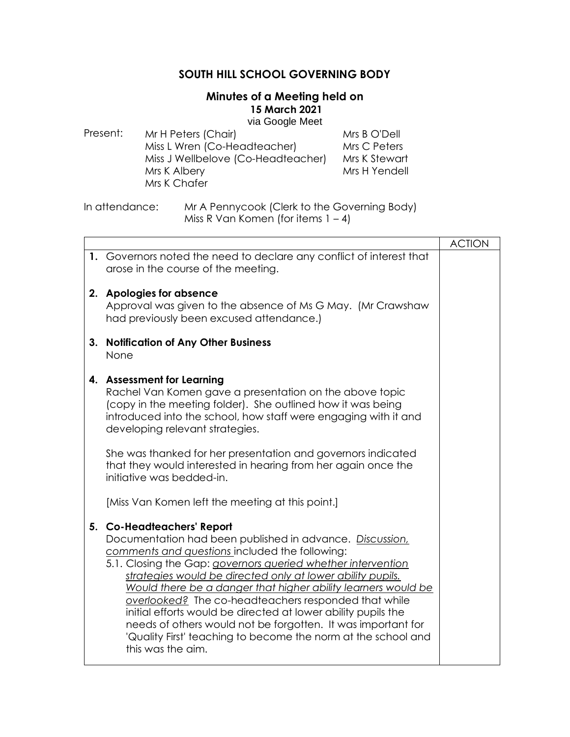# **SOUTH HILL SCHOOL GOVERNING BODY**

## **Minutes of a Meeting held on 15 March 2021**

via Google Meet

| Present: | Mr H Peters (Chair)                | Mrs B O'Dell  |
|----------|------------------------------------|---------------|
|          | Miss L Wren (Co-Headteacher)       | Mrs C Peters  |
|          | Miss J Wellbelove (Co-Headteacher) | Mrs K Stewart |
|          | Mrs K Albery                       | Mrs H Yendell |
|          | Mrs K Chafer                       |               |
|          |                                    |               |

In attendance: Mr A Pennycook (Clerk to the Governing Body) Miss R Van Komen (for items  $1 - 4$ )

|    |                                                                                                                                                                                                                                                                                                                                                                                                                                                                                                                                                                                                                        | <b>ACTION</b> |
|----|------------------------------------------------------------------------------------------------------------------------------------------------------------------------------------------------------------------------------------------------------------------------------------------------------------------------------------------------------------------------------------------------------------------------------------------------------------------------------------------------------------------------------------------------------------------------------------------------------------------------|---------------|
|    | 1. Governors noted the need to declare any conflict of interest that<br>arose in the course of the meeting.                                                                                                                                                                                                                                                                                                                                                                                                                                                                                                            |               |
|    | 2. Apologies for absence<br>Approval was given to the absence of Ms G May. (Mr Crawshaw<br>had previously been excused attendance.)                                                                                                                                                                                                                                                                                                                                                                                                                                                                                    |               |
| 3. | <b>Notification of Any Other Business</b><br>None                                                                                                                                                                                                                                                                                                                                                                                                                                                                                                                                                                      |               |
|    | 4. Assessment for Learning<br>Rachel Van Komen gave a presentation on the above topic<br>(copy in the meeting folder). She outlined how it was being<br>introduced into the school, how staff were engaging with it and<br>developing relevant strategies.                                                                                                                                                                                                                                                                                                                                                             |               |
|    | She was thanked for her presentation and governors indicated<br>that they would interested in hearing from her again once the<br>initiative was bedded-in.                                                                                                                                                                                                                                                                                                                                                                                                                                                             |               |
|    | [Miss Van Komen left the meeting at this point.]                                                                                                                                                                                                                                                                                                                                                                                                                                                                                                                                                                       |               |
|    | 5. Co-Headteachers' Report<br>Documentation had been published in advance. Discussion,<br>comments and questions included the following:<br>5.1. Closing the Gap: governors queried whether intervention<br>strategies would be directed only at lower ability pupils.<br>Would there be a danger that higher ability learners would be<br>overlooked? The co-headteachers responded that while<br>initial efforts would be directed at lower ability pupils the<br>needs of others would not be forgotten. It was important for<br>'Quality First' teaching to become the norm at the school and<br>this was the aim. |               |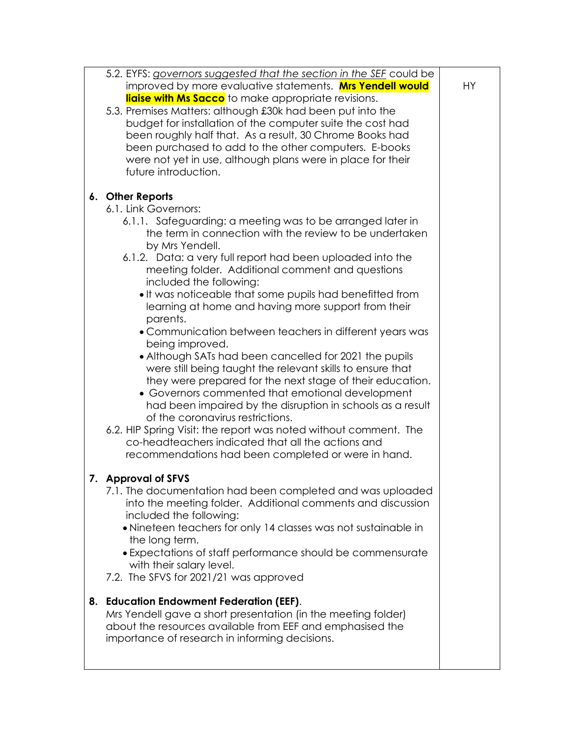|    | 5.2. EYFS: governors suggested that the section in the SEF could be |    |
|----|---------------------------------------------------------------------|----|
|    | improved by more evaluative statements. Mrs Yendell would           | HY |
|    | liaise with Ms Sacco to make appropriate revisions.                 |    |
|    | 5.3. Premises Matters: although £30k had been put into the          |    |
|    |                                                                     |    |
|    | budget for installation of the computer suite the cost had          |    |
|    | been roughly half that. As a result, 30 Chrome Books had            |    |
|    | been purchased to add to the other computers. E-books               |    |
|    | were not yet in use, although plans were in place for their         |    |
|    | future introduction.                                                |    |
|    |                                                                     |    |
|    | 6. Other Reports                                                    |    |
|    | 6.1. Link Governors:                                                |    |
|    |                                                                     |    |
|    | 6.1.1. Safeguarding: a meeting was to be arranged later in          |    |
|    | the term in connection with the review to be undertaken             |    |
|    | by Mrs Yendell.                                                     |    |
|    | 6.1.2. Data: a very full report had been uploaded into the          |    |
|    | meeting folder. Additional comment and questions                    |    |
|    | included the following:                                             |    |
|    | . It was noticeable that some pupils had benefitted from            |    |
|    | learning at home and having more support from their                 |    |
|    | parents.                                                            |    |
|    | • Communication between teachers in different years was             |    |
|    |                                                                     |    |
|    | being improved.                                                     |    |
|    | • Although SATs had been cancelled for 2021 the pupils              |    |
|    | were still being taught the relevant skills to ensure that          |    |
|    | they were prepared for the next stage of their education.           |    |
|    | • Governors commented that emotional development                    |    |
|    | had been impaired by the disruption in schools as a result          |    |
|    | of the coronavirus restrictions.                                    |    |
|    | 6.2. HIP Spring Visit: the report was noted without comment. The    |    |
|    | co-headteachers indicated that all the actions and                  |    |
|    | recommendations had been completed or were in hand.                 |    |
|    |                                                                     |    |
|    |                                                                     |    |
|    | 7. Approval of SFVS                                                 |    |
|    | 7.1. The documentation had been completed and was uploaded          |    |
|    | into the meeting folder. Additional comments and discussion         |    |
|    | included the following:                                             |    |
|    | • Nineteen teachers for only 14 classes was not sustainable in      |    |
|    | the long term.                                                      |    |
|    | • Expectations of staff performance should be commensurate          |    |
|    | with their salary level.                                            |    |
|    | 7.2. The SFVS for 2021/21 was approved                              |    |
|    |                                                                     |    |
|    |                                                                     |    |
| 8. | <b>Education Endowment Federation (EEF).</b>                        |    |
|    | Mrs Yendell gave a short presentation (in the meeting folder)       |    |
|    | about the resources available from EEF and emphasised the           |    |
|    | importance of research in informing decisions.                      |    |
|    |                                                                     |    |
|    |                                                                     |    |